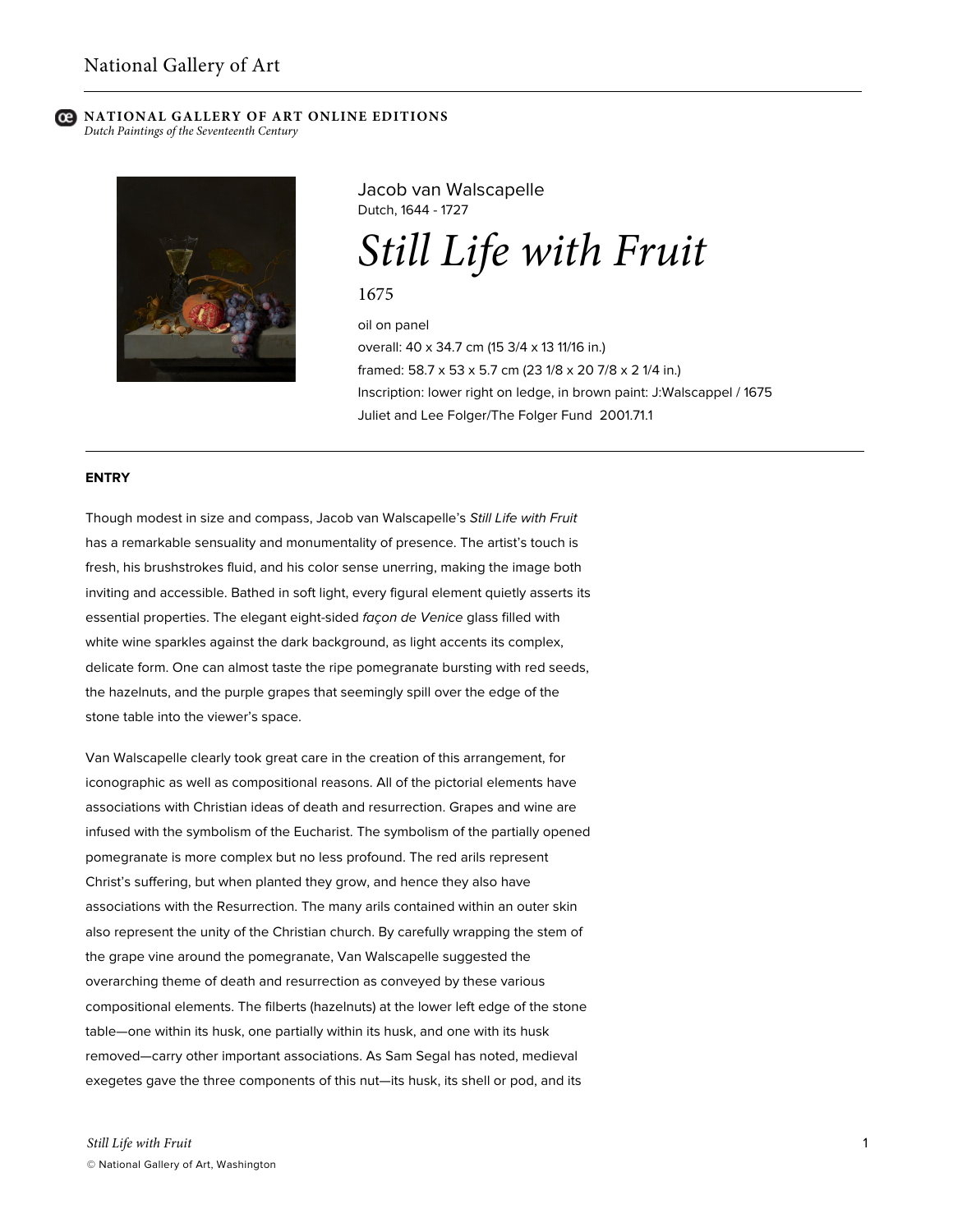# **NATIONAL GALLERY OF ART ONLINE EDITIONS**

*Dutch Paintings of the Seventeenth Century*



Jacob van Walscapelle Dutch, 1644 - 1727

*Still Life with Fruit*

1675

oil on panel overall: 40 x 34.7 cm (15 3/4 x 13 11/16 in.) framed: 58.7 x 53 x 5.7 cm (23 1/8 x 20 7/8 x 2 1/4 in.) Inscription: lower right on ledge, in brown paint: J:Walscappel / 1675 Juliet and Lee Folger/The Folger Fund 2001.71.1

### **ENTRY**

Though modest in size and compass, Jacob van Walscapelle's *Still Life with Fruit* has a remarkable sensuality and monumentality of presence. The artist's touch is fresh, his brushstrokes fluid, and his color sense unerring, making the image both inviting and accessible. Bathed in soft light, every figural element quietly asserts its essential properties. The elegant eight-sided *façon de Venice* glass filled with white wine sparkles against the dark background, as light accents its complex, delicate form. One can almost taste the ripe pomegranate bursting with red seeds, the hazelnuts, and the purple grapes that seemingly spill over the edge of the stone table into the viewer's space.

Van Walscapelle clearly took great care in the creation of this arrangement, for iconographic as well as compositional reasons. All of the pictorial elements have associations with Christian ideas of death and resurrection. Grapes and wine are infused with the symbolism of the Eucharist. The symbolism of the partially opened pomegranate is more complex but no less profound. The red arils represent Christ's suffering, but when planted they grow, and hence they also have associations with the Resurrection. The many arils contained within an outer skin also represent the unity of the Christian church. By carefully wrapping the stem of the grape vine around the pomegranate, Van Walscapelle suggested the overarching theme of death and resurrection as conveyed by these various compositional elements. The filberts (hazelnuts) at the lower left edge of the stone table—one within its husk, one partially within its husk, and one with its husk removed—carry other important associations. As Sam Segal has noted, medieval exegetes gave the three components of this nut—its husk, its shell or pod, and its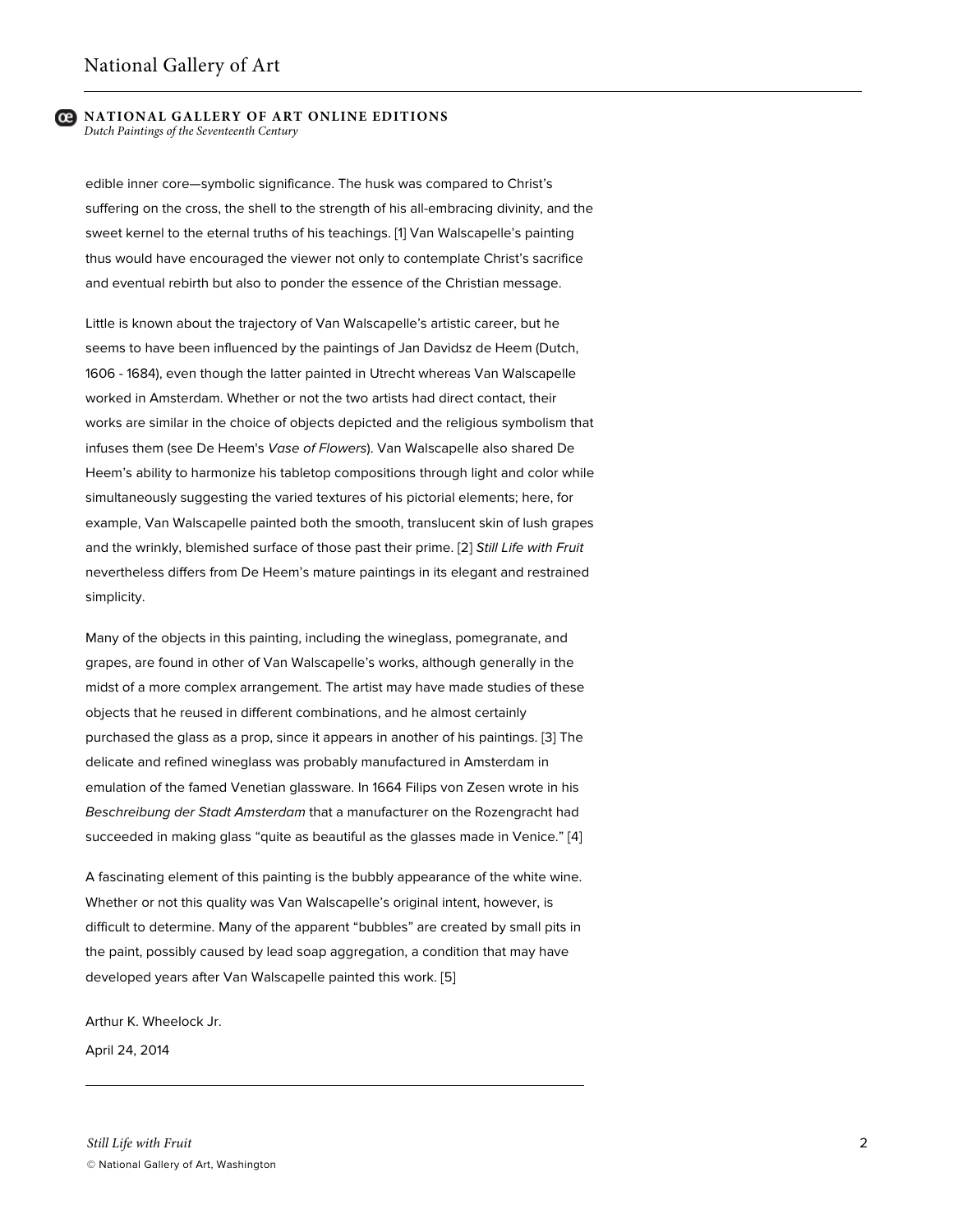#### **NATIONAL GALLERY OF ART ONLINE EDITIONS** *Dutch Paintings of the Seventeenth Century*

edible inner core—symbolic significance. The husk was compared to Christ's suffering on the cross, the shell to the strength of his all-embracing divinity, and the sweet kernel to the eternal truths of his teachings. [1] Van Walscapelle's painting thus would have encouraged the viewer not only to contemplate Christ's sacrifice and eventual rebirth but also to ponder the essence of the Christian message.

Little is known about the trajectory of Van Walscapelle's artistic career, but he seems to have been influenced by the paintings of Jan Davidsz de Heem (Dutch, 1606 - 1684), even though the latter painted in Utrecht whereas Van Walscapelle worked in Amsterdam. Whether or not the two artists had direct contact, their works are similar in the choice of objects depicted and the religious symbolism that infuses them (see De Heem's *Vase of Flowers*). Van Walscapelle also shared De Heem's ability to harmonize his tabletop compositions through light and color while simultaneously suggesting the varied textures of his pictorial elements; here, for example, Van Walscapelle painted both the smooth, translucent skin of lush grapes and the wrinkly, blemished surface of those past their prime. [2] *Still Life with Fruit* nevertheless differs from De Heem's mature paintings in its elegant and restrained simplicity.

Many of the objects in this painting, including the wineglass, pomegranate, and grapes, are found in other of Van Walscapelle's works, although generally in the midst of a more complex arrangement. The artist may have made studies of these objects that he reused in different combinations, and he almost certainly purchased the glass as a prop, since it appears in another of his paintings. [3] The delicate and refined wineglass was probably manufactured in Amsterdam in emulation of the famed Venetian glassware. In 1664 Filips von Zesen wrote in his *Beschreibung der Stadt Amsterdam* that a manufacturer on the Rozengracht had succeeded in making glass "quite as beautiful as the glasses made in Venice." [4]

A fascinating element of this painting is the bubbly appearance of the white wine. Whether or not this quality was Van Walscapelle's original intent, however, is difficult to determine. Many of the apparent "bubbles" are created by small pits in the paint, possibly caused by lead soap aggregation, a condition that may have developed years after Van Walscapelle painted this work. [5]

Arthur K. Wheelock Jr.

April 24, 2014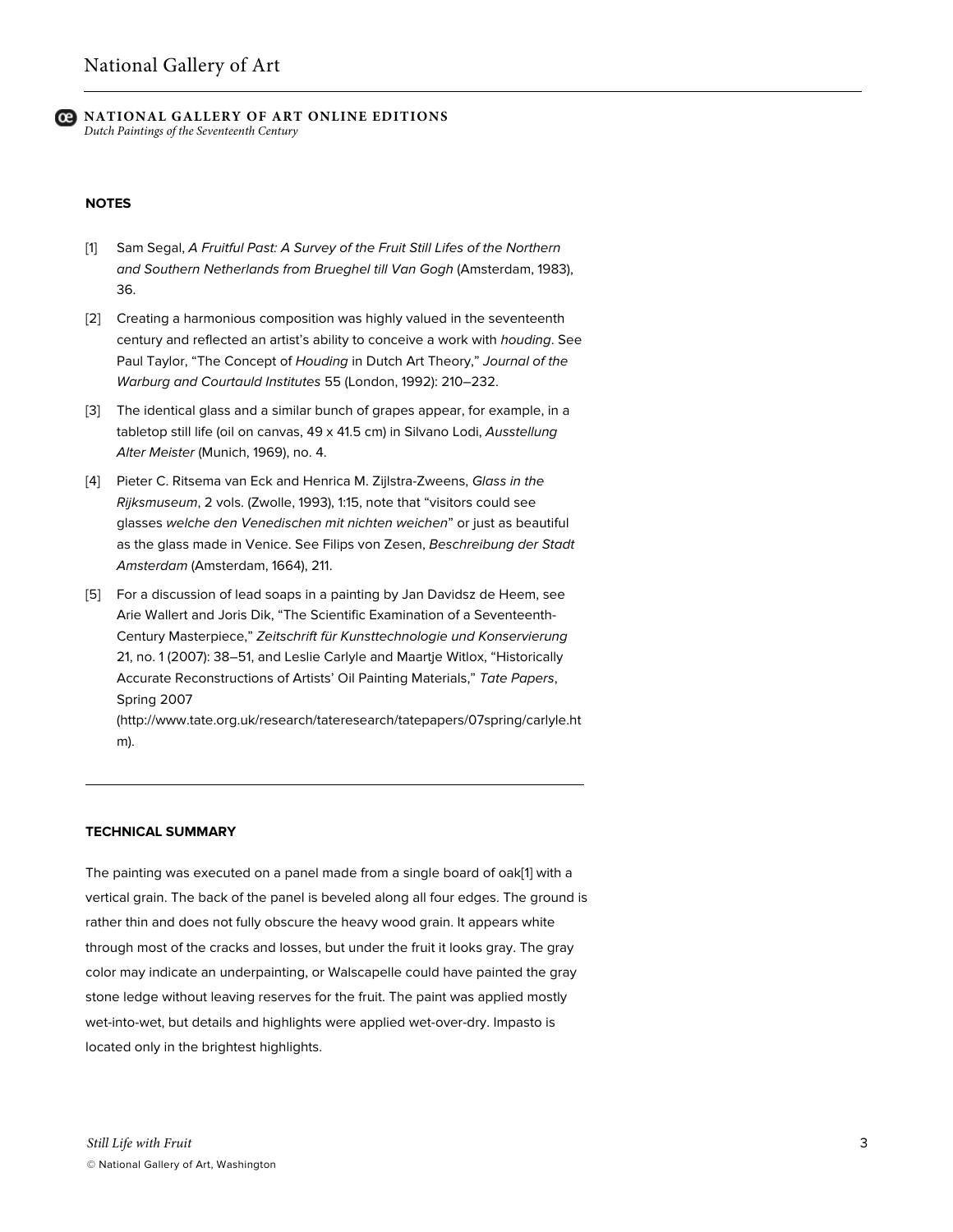## **NATIONAL GALLERY OF ART ONLINE EDITIONS** *Dutch Paintings of the Seventeenth Century*

### **NOTES**

- [1] Sam Segal, *A Fruitful Past: A Survey of the Fruit Still Lifes of the Northern and Southern Netherlands from Brueghel till Van Gogh* (Amsterdam, 1983), 36.
- [2] Creating a harmonious composition was highly valued in the seventeenth century and reflected an artist's ability to conceive a work with *houding*. See Paul Taylor, "The Concept of *Houding* in Dutch Art Theory," *Journal of the Warburg and Courtauld Institutes* 55 (London, 1992): 210–232.
- [3] The identical glass and a similar bunch of grapes appear, for example, in a tabletop still life (oil on canvas, 49 x 41.5 cm) in Silvano Lodi, *Ausstellung Alter Meister* (Munich, 1969), no. 4.
- [4] Pieter C. Ritsema van Eck and Henrica M. Zijlstra-Zweens, *Glass in the Rijksmuseum*, 2 vols. (Zwolle, 1993), 1:15, note that "visitors could see glasses *welche den Venedischen mit nichten weichen*" or just as beautiful as the glass made in Venice. See Filips von Zesen, *Beschreibung der Stadt Amsterdam* (Amsterdam, 1664), 211.
- [5] For a discussion of lead soaps in a painting by Jan Davidsz de Heem, see Arie Wallert and Joris Dik, "The Scientific Examination of a Seventeenth-Century Masterpiece," *Zeitschrift für Kunsttechnologie und Konservierung* 21, no. 1 (2007): 38–51, and Leslie Carlyle and Maartje Witlox, "Historically Accurate Reconstructions of Artists' Oil Painting Materials," *Tate Papers*, Spring 2007

(http://www.tate.org.uk/research/tateresearch/tatepapers/07spring/carlyle.ht m).

## **TECHNICAL SUMMARY**

The painting was executed on a panel made from a single board of oak[1] with a vertical grain. The back of the panel is beveled along all four edges. The ground is rather thin and does not fully obscure the heavy wood grain. It appears white through most of the cracks and losses, but under the fruit it looks gray. The gray color may indicate an underpainting, or Walscapelle could have painted the gray stone ledge without leaving reserves for the fruit. The paint was applied mostly wet-into-wet, but details and highlights were applied wet-over-dry. Impasto is located only in the brightest highlights.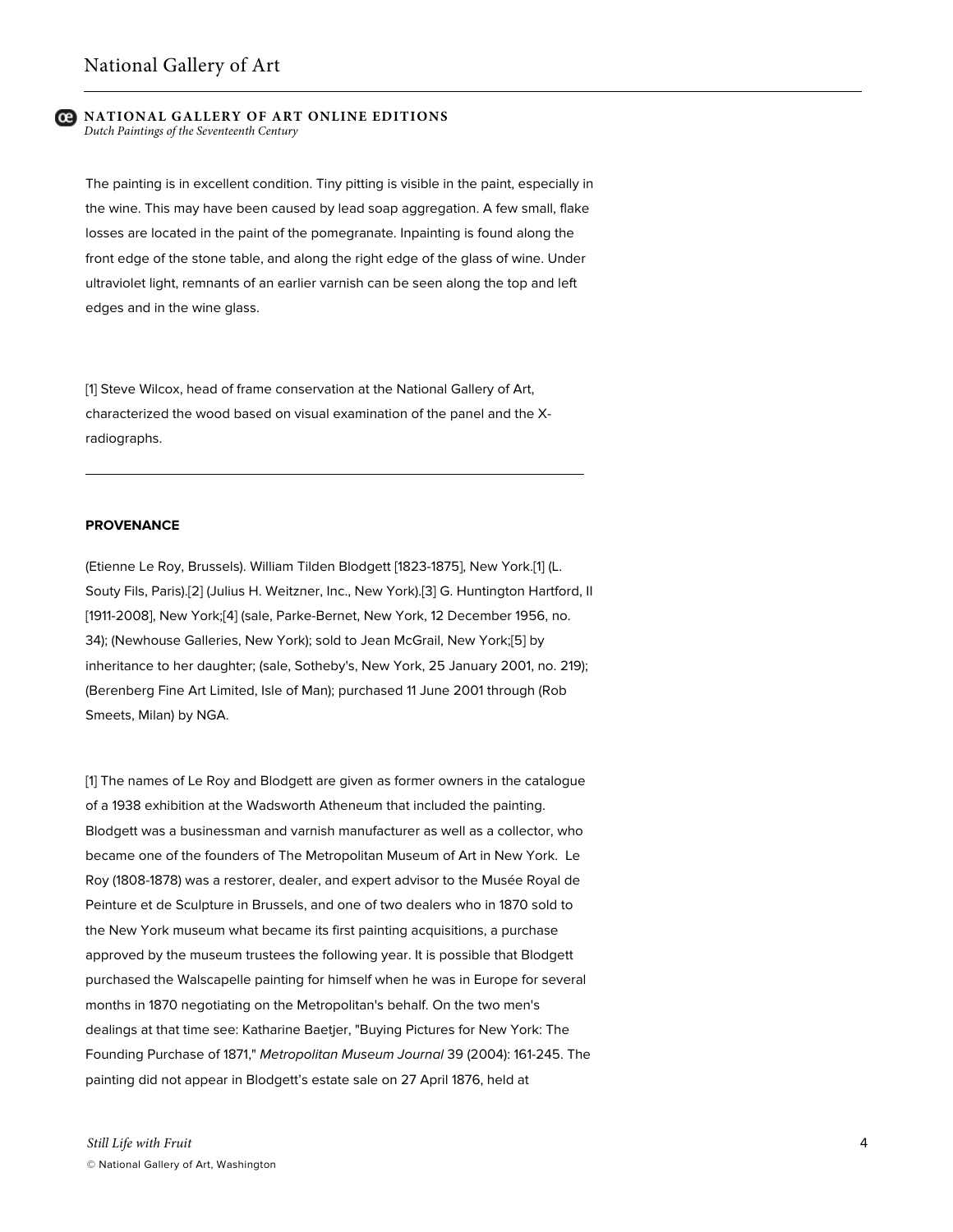# **NATIONAL GALLERY OF ART ONLINE EDITIONS**

*Dutch Paintings of the Seventeenth Century*

The painting is in excellent condition. Tiny pitting is visible in the paint, especially in the wine. This may have been caused by lead soap aggregation. A few small, flake losses are located in the paint of the pomegranate. Inpainting is found along the front edge of the stone table, and along the right edge of the glass of wine. Under ultraviolet light, remnants of an earlier varnish can be seen along the top and left edges and in the wine glass.

[1] Steve Wilcox, head of frame conservation at the National Gallery of Art, characterized the wood based on visual examination of the panel and the Xradiographs.

### **PROVENANCE**

(Etienne Le Roy, Brussels). William Tilden Blodgett [1823-1875], New York.[1] (L. Souty Fils, Paris).[2] (Julius H. Weitzner, Inc., New York).[3] G. Huntington Hartford, II [1911-2008], New York;[4] (sale, Parke-Bernet, New York, 12 December 1956, no. 34); (Newhouse Galleries, New York); sold to Jean McGrail, New York;[5] by inheritance to her daughter; (sale, Sotheby's, New York, 25 January 2001, no. 219); (Berenberg Fine Art Limited, Isle of Man); purchased 11 June 2001 through (Rob Smeets, Milan) by NGA.

[1] The names of Le Roy and Blodgett are given as former owners in the catalogue of a 1938 exhibition at the Wadsworth Atheneum that included the painting. Blodgett was a businessman and varnish manufacturer as well as a collector, who became one of the founders of The Metropolitan Museum of Art in New York. Le Roy (1808-1878) was a restorer, dealer, and expert advisor to the Musée Royal de Peinture et de Sculpture in Brussels, and one of two dealers who in 1870 sold to the New York museum what became its first painting acquisitions, a purchase approved by the museum trustees the following year. It is possible that Blodgett purchased the Walscapelle painting for himself when he was in Europe for several months in 1870 negotiating on the Metropolitan's behalf. On the two men's dealings at that time see: Katharine Baetjer, "Buying Pictures for New York: The Founding Purchase of 1871," *Metropolitan Museum Journal* 39 (2004): 161-245. The painting did not appear in Blodgett's estate sale on 27 April 1876, held at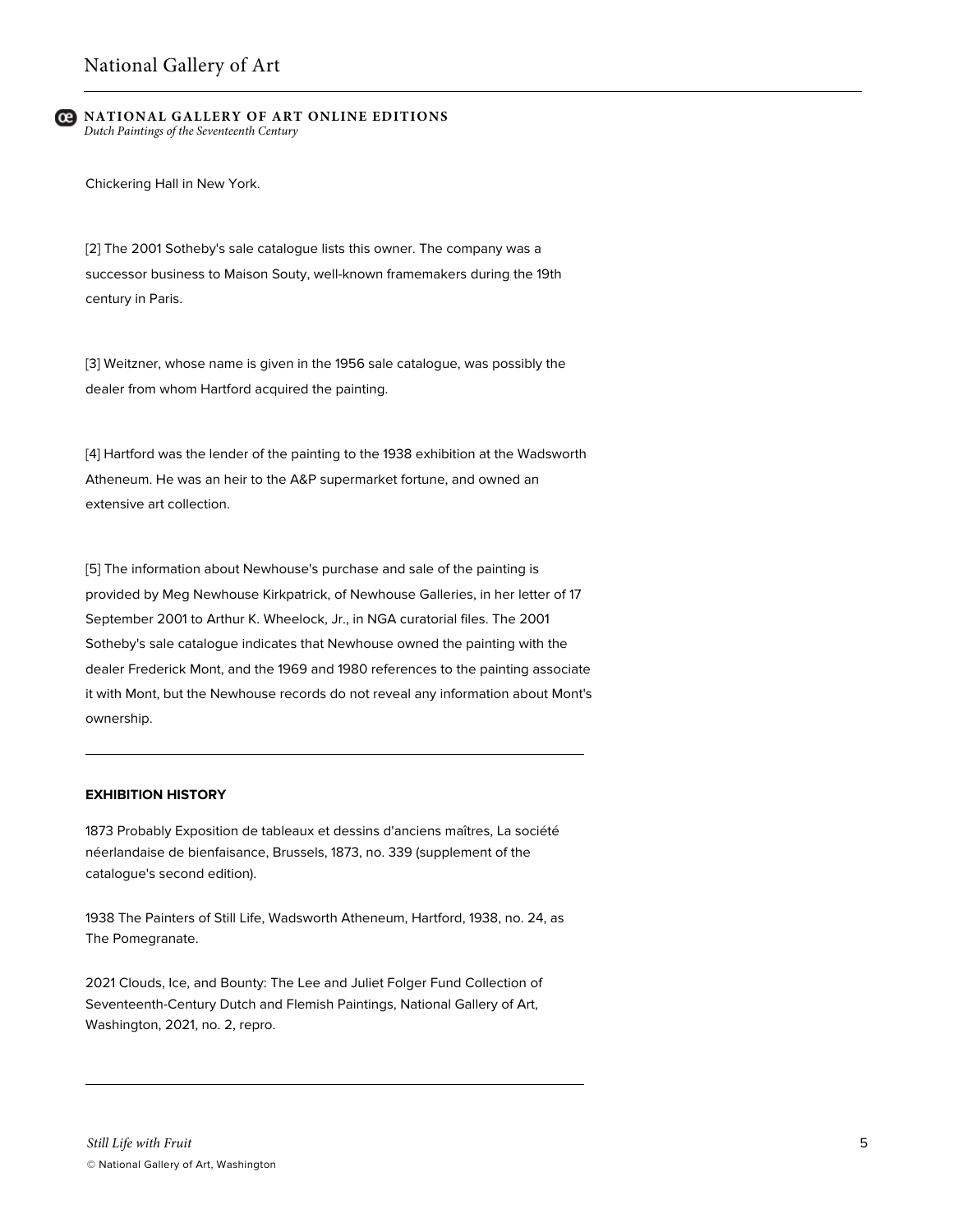### **NATIONAL GALLERY OF ART ONLINE EDITIONS** *Dutch Paintings of the Seventeenth Century*

Chickering Hall in New York.

[2] The 2001 Sotheby's sale catalogue lists this owner. The company was a successor business to Maison Souty, well-known framemakers during the 19th century in Paris.

[3] Weitzner, whose name is given in the 1956 sale catalogue, was possibly the dealer from whom Hartford acquired the painting.

[4] Hartford was the lender of the painting to the 1938 exhibition at the Wadsworth Atheneum. He was an heir to the A&P supermarket fortune, and owned an extensive art collection.

[5] The information about Newhouse's purchase and sale of the painting is provided by Meg Newhouse Kirkpatrick, of Newhouse Galleries, in her letter of 17 September 2001 to Arthur K. Wheelock, Jr., in NGA curatorial files. The 2001 Sotheby's sale catalogue indicates that Newhouse owned the painting with the dealer Frederick Mont, and the 1969 and 1980 references to the painting associate it with Mont, but the Newhouse records do not reveal any information about Mont's ownership.

# **EXHIBITION HISTORY**

1873 Probably Exposition de tableaux et dessins d'anciens maîtres, La société néerlandaise de bienfaisance, Brussels, 1873, no. 339 (supplement of the catalogue's second edition).

1938 The Painters of Still Life, Wadsworth Atheneum, Hartford, 1938, no. 24, as The Pomegranate.

2021 Clouds, Ice, and Bounty: The Lee and Juliet Folger Fund Collection of Seventeenth-Century Dutch and Flemish Paintings, National Gallery of Art, Washington, 2021, no. 2, repro.